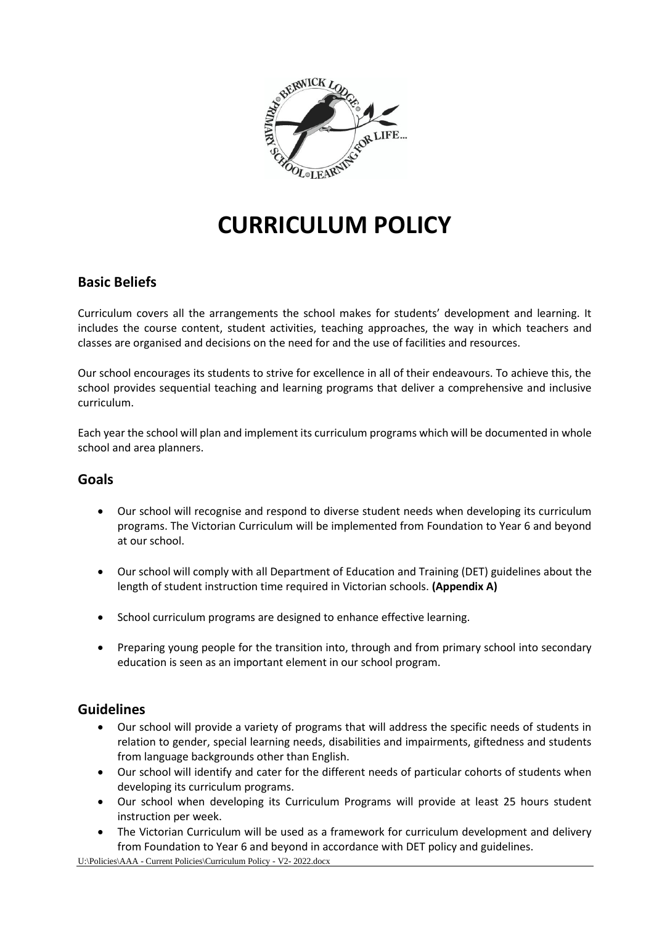

# **CURRICULUM POLICY**

## **Basic Beliefs**

Curriculum covers all the arrangements the school makes for students' development and learning. It includes the course content, student activities, teaching approaches, the way in which teachers and classes are organised and decisions on the need for and the use of facilities and resources.

Our school encourages its students to strive for excellence in all of their endeavours. To achieve this, the school provides sequential teaching and learning programs that deliver a comprehensive and inclusive curriculum.

Each year the school will plan and implement its curriculum programs which will be documented in whole school and area planners.

#### **Goals**

- Our school will recognise and respond to diverse student needs when developing its curriculum programs. The Victorian Curriculum will be implemented from Foundation to Year 6 and beyond at our school.
- Our school will comply with all Department of Education and Training (DET) guidelines about the length of student instruction time required in Victorian schools. **(Appendix A)**
- School curriculum programs are designed to enhance effective learning.
- Preparing young people for the transition into, through and from primary school into secondary education is seen as an important element in our school program.

#### **Guidelines**

- Our school will provide a variety of programs that will address the specific needs of students in relation to gender, special learning needs, disabilities and impairments, giftedness and students from language backgrounds other than English.
- Our school will identify and cater for the different needs of particular cohorts of students when developing its curriculum programs.
- Our school when developing its Curriculum Programs will provide at least 25 hours student instruction per week.
- The Victorian Curriculum will be used as a framework for curriculum development and delivery from Foundation to Year 6 and beyond in accordance with DET policy and guidelines.

U:\Policies\AAA - Current Policies\Curriculum Policy - V2- 2022.docx